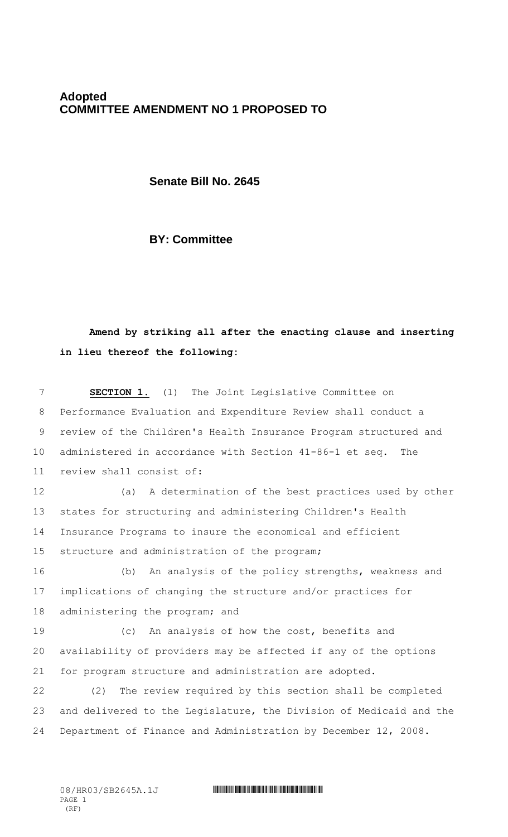## **Adopted COMMITTEE AMENDMENT NO 1 PROPOSED TO**

**Senate Bill No. 2645**

**BY: Committee**

# **Amend by striking all after the enacting clause and inserting in lieu thereof the following:**

 **SECTION 1.** (1) The Joint Legislative Committee on Performance Evaluation and Expenditure Review shall conduct a review of the Children's Health Insurance Program structured and administered in accordance with Section 41-86-1 et seq. The review shall consist of: (a) A determination of the best practices used by other states for structuring and administering Children's Health Insurance Programs to insure the economical and efficient structure and administration of the program; (b) An analysis of the policy strengths, weakness and implications of changing the structure and/or practices for administering the program; and (c) An analysis of how the cost, benefits and availability of providers may be affected if any of the options for program structure and administration are adopted. (2) The review required by this section shall be completed and delivered to the Legislature, the Division of Medicaid and the Department of Finance and Administration by December 12, 2008.

#### 08/HR03/SB2645A.1J \*HR03/SB2645A.1J\*